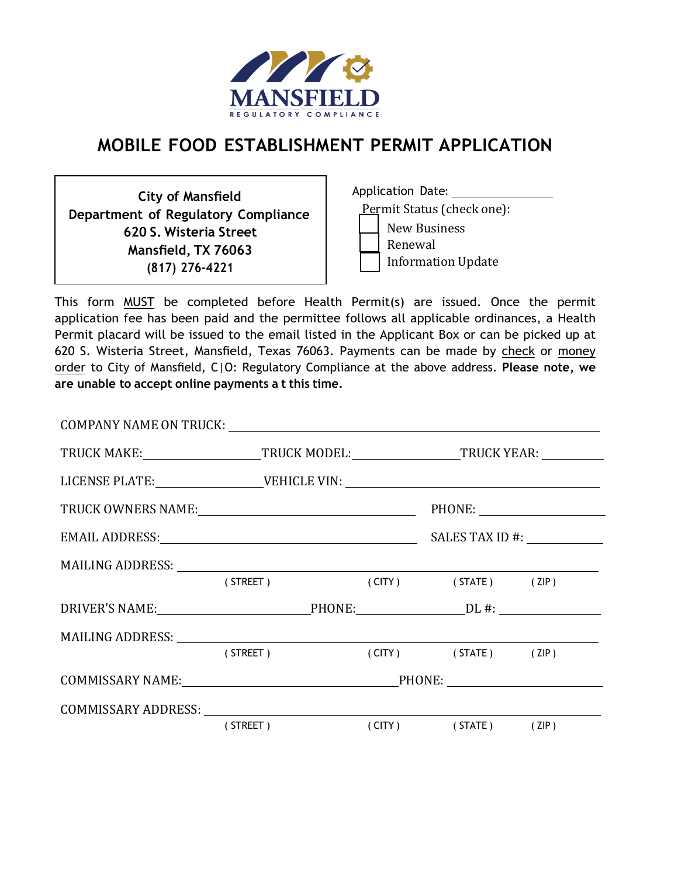

### **MOBILE FOOD ESTABLISHMENT PERMIT APPLICATION**

**City of Mansfield Department of Regulatory Compliance 620 S. Wisteria Street Mansfield, TX 76063 (817) 276-4221**

Application Date: Permit Status (check one): New Business Renewal Information Update

This form MUST be completed before Health Permit(s) are issued. Once the permit application fee has been paid and the permittee follows all applicable ordinances, a Health Permit placard will be issued to the email listed in the Applicant Box or can be picked up at 620 S. Wisteria Street, Mansfield, Texas 76063. Payments can be made by check or money order to City of Mansfield, C|O: Regulatory Compliance at the above address. **Please note, we are unable to accept online payments a t this time.**

|                                                     | TRUCK MAKE:______________________TRUCK MODEL:_____________________TRUCK YEAR: _________ |  |  |  |
|-----------------------------------------------------|-----------------------------------------------------------------------------------------|--|--|--|
|                                                     |                                                                                         |  |  |  |
|                                                     |                                                                                         |  |  |  |
|                                                     |                                                                                         |  |  |  |
| MAILING ADDRESS: University of the MAILING ADDRESS: |                                                                                         |  |  |  |
|                                                     | (STREET) (CITY) (STATE) (ZIP)                                                           |  |  |  |
| DRIVER'S NAME: PHONE: PHONE: DL #:                  |                                                                                         |  |  |  |
|                                                     |                                                                                         |  |  |  |
|                                                     | (STREET) (CITY) (STATE) (ZIP)                                                           |  |  |  |
|                                                     |                                                                                         |  |  |  |
| COMMISSARY ADDRESS:                                 |                                                                                         |  |  |  |
|                                                     | (STREET) (CITY) (STATE) (ZIP)                                                           |  |  |  |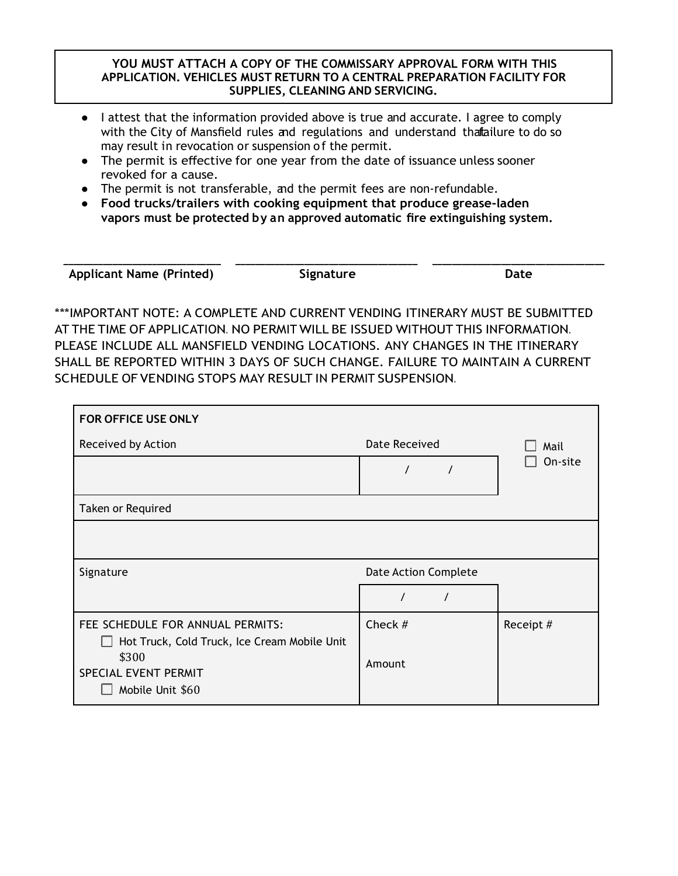#### **YOU MUST ATTACH A COPY OF THE COMMISSARY APPROVAL FORM WITH THIS APPLICATION. VEHICLES MUST RETURN TO A CENTRAL PREPARATION FACILITY FOR SUPPLIES, CLEANING AND SERVICING.**

- I attest that the information provided above is true and accurate. I agree to comply with the City of Mansfield rules and regulations and understand thatailure to do so may result in revocation or suspension of the permit.
- The permit is effective for one year from the date of issuance unless sooner revoked for a cause.
- The permit is not transferable, and the permit fees are non-refundable.
- **Food trucks/trailers with cooking equipment that produce grease-laden vapors must be protected by an approved automatic fire extinguishing system.**

| <b>Applicant Name (Printed)</b> | Signature | Date |
|---------------------------------|-----------|------|

\*\*\*IMPORTANT NOTE: A COMPLETE AND CURRENT VENDING ITINERARY MUST BE SUBMITTED AT THE TIME OF APPLICATION. NO PERMIT WILL BE ISSUED WITHOUT THIS INFORMATION. PLEASE INCLUDE ALL MANSFIELD VENDING LOCATIONS. ANY CHANGES IN THE ITINERARY SHALL BE REPORTED WITHIN 3 DAYS OF SUCH CHANGE. FAILURE TO MAINTAIN A CURRENT SCHEDULE OF VENDING STOPS MAY RESULT IN PERMIT SUSPENSION.

| <b>FOR OFFICE USE ONLY</b>                                                       |                             |           |
|----------------------------------------------------------------------------------|-----------------------------|-----------|
| Received by Action                                                               | Date Received               | Mail      |
|                                                                                  | $\prime$                    | On-site   |
| Taken or Required                                                                |                             |           |
|                                                                                  |                             |           |
| Signature                                                                        | <b>Date Action Complete</b> |           |
|                                                                                  | $\prime$<br>$\prime$        |           |
| FEE SCHEDULE FOR ANNUAL PERMITS:<br>Hot Truck, Cold Truck, Ice Cream Mobile Unit | Check #                     | Receipt # |
| \$300<br>SPECIAL EVENT PERMIT<br>Mobile Unit \$60                                | Amount                      |           |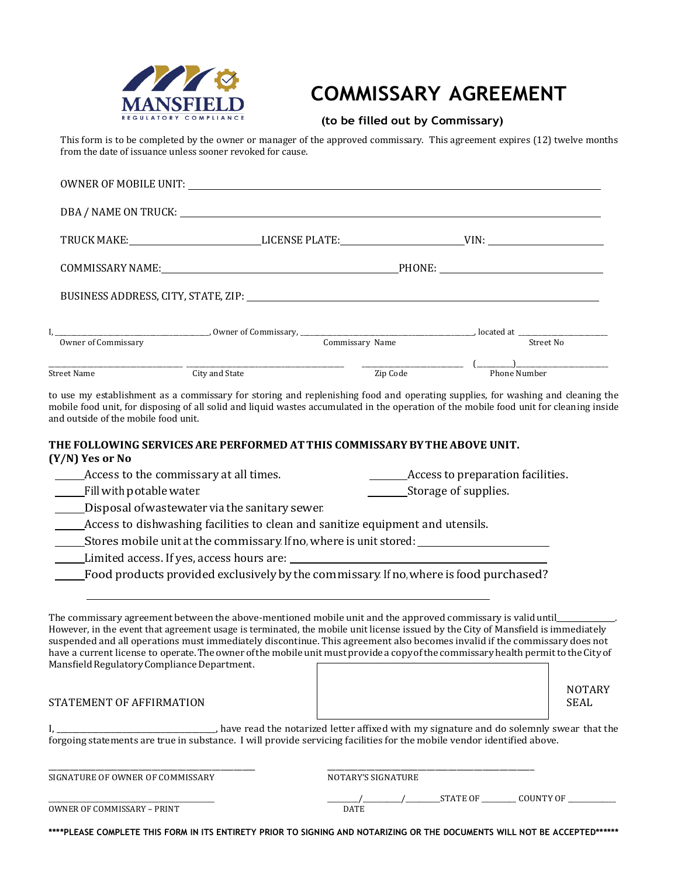

# **COMMISSARY AGREEMENT**

#### **(to be filled out by Commissary)**

This form is to be completed by the owner or manager of the approved commissary. This agreement expires (12) twelve months from the date of issuance unless sooner revoked for cause.

|                                      | Owner of Commissary Commissary, Commissary Name Commissary Name Street No                                                                                                                                                                                                                                                                                                                                                                                                                                                                                         |                    |  |                                                                                                                                                                                                                                                                                                                                                                      |
|--------------------------------------|-------------------------------------------------------------------------------------------------------------------------------------------------------------------------------------------------------------------------------------------------------------------------------------------------------------------------------------------------------------------------------------------------------------------------------------------------------------------------------------------------------------------------------------------------------------------|--------------------|--|----------------------------------------------------------------------------------------------------------------------------------------------------------------------------------------------------------------------------------------------------------------------------------------------------------------------------------------------------------------------|
|                                      |                                                                                                                                                                                                                                                                                                                                                                                                                                                                                                                                                                   |                    |  |                                                                                                                                                                                                                                                                                                                                                                      |
| Street Name                          | and State and State City and State                                                                                                                                                                                                                                                                                                                                                                                                                                                                                                                                |                    |  | $\frac{1}{\sqrt{2}}$ $\frac{1}{\sqrt{2}}$ $\frac{1}{\sqrt{2}}$ $\frac{1}{\sqrt{2}}$ $\frac{1}{\sqrt{2}}$ $\frac{1}{\sqrt{2}}$ $\frac{1}{\sqrt{2}}$ $\frac{1}{\sqrt{2}}$ $\frac{1}{\sqrt{2}}$ $\frac{1}{\sqrt{2}}$ $\frac{1}{\sqrt{2}}$ $\frac{1}{\sqrt{2}}$ $\frac{1}{\sqrt{2}}$ $\frac{1}{\sqrt{2}}$ $\frac{1}{\sqrt{2}}$ $\frac{1}{\sqrt{2}}$ $\frac{1}{\sqrt{2}}$ |
| and outside of the mobile food unit. | to use my establishment as a commissary for storing and replenishing food and operating supplies, for washing and cleaning the<br>mobile food unit, for disposing of all solid and liquid wastes accumulated in the operation of the mobile food unit for cleaning inside                                                                                                                                                                                                                                                                                         |                    |  |                                                                                                                                                                                                                                                                                                                                                                      |
| (Y/N) Yes or No                      | THE FOLLOWING SERVICES ARE PERFORMED AT THIS COMMISSARY BY THE ABOVE UNIT.                                                                                                                                                                                                                                                                                                                                                                                                                                                                                        |                    |  |                                                                                                                                                                                                                                                                                                                                                                      |
|                                      |                                                                                                                                                                                                                                                                                                                                                                                                                                                                                                                                                                   |                    |  |                                                                                                                                                                                                                                                                                                                                                                      |
| Fill with potable water.             |                                                                                                                                                                                                                                                                                                                                                                                                                                                                                                                                                                   |                    |  |                                                                                                                                                                                                                                                                                                                                                                      |
|                                      | Disposal of wastewater via the sanitary sewer                                                                                                                                                                                                                                                                                                                                                                                                                                                                                                                     |                    |  |                                                                                                                                                                                                                                                                                                                                                                      |
|                                      | Access to dishwashing facilities to clean and sanitize equipment and utensils.                                                                                                                                                                                                                                                                                                                                                                                                                                                                                    |                    |  |                                                                                                                                                                                                                                                                                                                                                                      |
|                                      |                                                                                                                                                                                                                                                                                                                                                                                                                                                                                                                                                                   |                    |  |                                                                                                                                                                                                                                                                                                                                                                      |
|                                      |                                                                                                                                                                                                                                                                                                                                                                                                                                                                                                                                                                   |                    |  |                                                                                                                                                                                                                                                                                                                                                                      |
|                                      | Food products provided exclusively by the commissary. If no, where is food purchased?                                                                                                                                                                                                                                                                                                                                                                                                                                                                             |                    |  |                                                                                                                                                                                                                                                                                                                                                                      |
|                                      | The commissary agreement between the above-mentioned mobile unit and the approved commissary is valid until<br>However, in the event that agreement usage is terminated, the mobile unit license issued by the City of Mansfield is immediately<br>suspended and all operations must immediately discontinue. This agreement also becomes invalid if the commissary does not<br>have a current license to operate. The owner of the mobile unit must provide a copy of the commissary health permit to the City of<br>Mansfield Regulatory Compliance Department. |                    |  | <b>NOTARY</b>                                                                                                                                                                                                                                                                                                                                                        |
| STATEMENT OF AFFIRMATION             |                                                                                                                                                                                                                                                                                                                                                                                                                                                                                                                                                                   |                    |  | <b>SEAL</b>                                                                                                                                                                                                                                                                                                                                                          |
|                                      | I, _________________________________, have read the notarized letter affixed with my signature and do solemnly swear that the forgoing statements are true in substance. I will provide servicing facilities for the mobile ve                                                                                                                                                                                                                                                                                                                                    |                    |  |                                                                                                                                                                                                                                                                                                                                                                      |
| SIGNATURE OF OWNER OF COMMISSARY     |                                                                                                                                                                                                                                                                                                                                                                                                                                                                                                                                                                   | NOTARY'S SIGNATURE |  |                                                                                                                                                                                                                                                                                                                                                                      |
| OWNER OF COMMISSARY - PRINT          |                                                                                                                                                                                                                                                                                                                                                                                                                                                                                                                                                                   | DATE               |  | _____/__________/____________STATE OF ___________ COUNTY OF _____________                                                                                                                                                                                                                                                                                            |

**\*\*\*\*PLEASE COMPLETE THIS FORM IN ITS ENTIRETY PRIOR TO SIGNING AND NOTARIZING OR THE DOCUMENTS WILL NOT BE ACCEPTED\*\*\*\*\*\***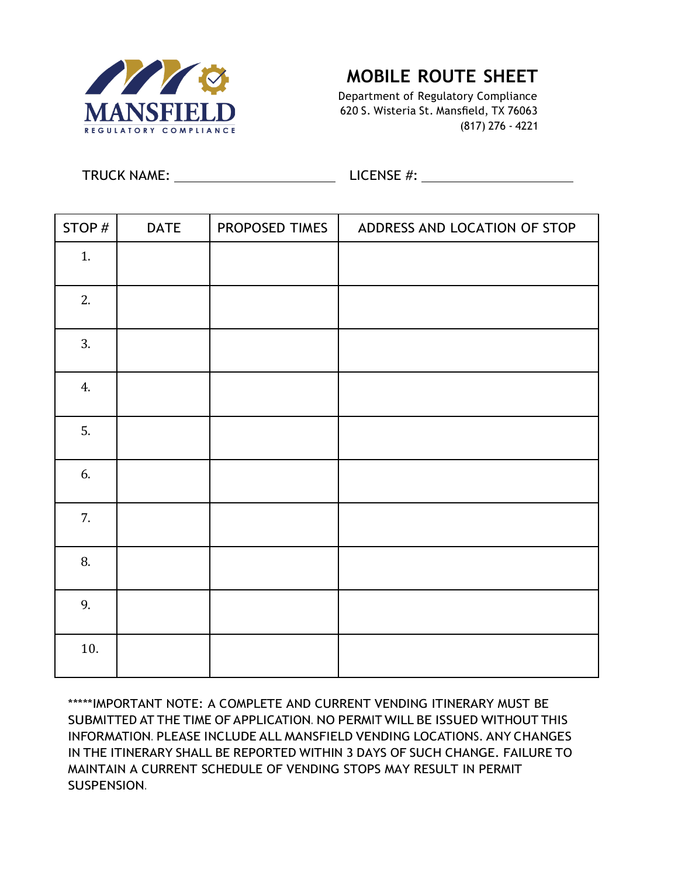

### **MOBILE ROUTE SHEET**

Department of Regulatory Compliance 620 S. Wisteria St. Mansfield, TX 76063 (817) 276 - 4221

TRUCK NAME: LICENSE #:

| STOP# | <b>DATE</b> | PROPOSED TIMES | ADDRESS AND LOCATION OF STOP |
|-------|-------------|----------------|------------------------------|
| 1.    |             |                |                              |
| 2.    |             |                |                              |
| 3.    |             |                |                              |
| 4.    |             |                |                              |
| 5.    |             |                |                              |
| 6.    |             |                |                              |
| 7.    |             |                |                              |
| 8.    |             |                |                              |
| 9.    |             |                |                              |
| 10.   |             |                |                              |

\*\*\*\*\*IMPORTANT NOTE: A COMPLETE AND CURRENT VENDING ITINERARY MUST BE SUBMITTED AT THE TIME OF APPLICATION. NO PERMIT WILL BE ISSUED WITHOUT THIS INFORMATION. PLEASE INCLUDE ALL MANSFIELD VENDING LOCATIONS. ANY CHANGES IN THE ITINERARY SHALL BE REPORTED WITHIN 3 DAYS OF SUCH CHANGE. FAILURE TO MAINTAIN A CURRENT SCHEDULE OF VENDING STOPS MAY RESULT IN PERMIT SUSPENSION.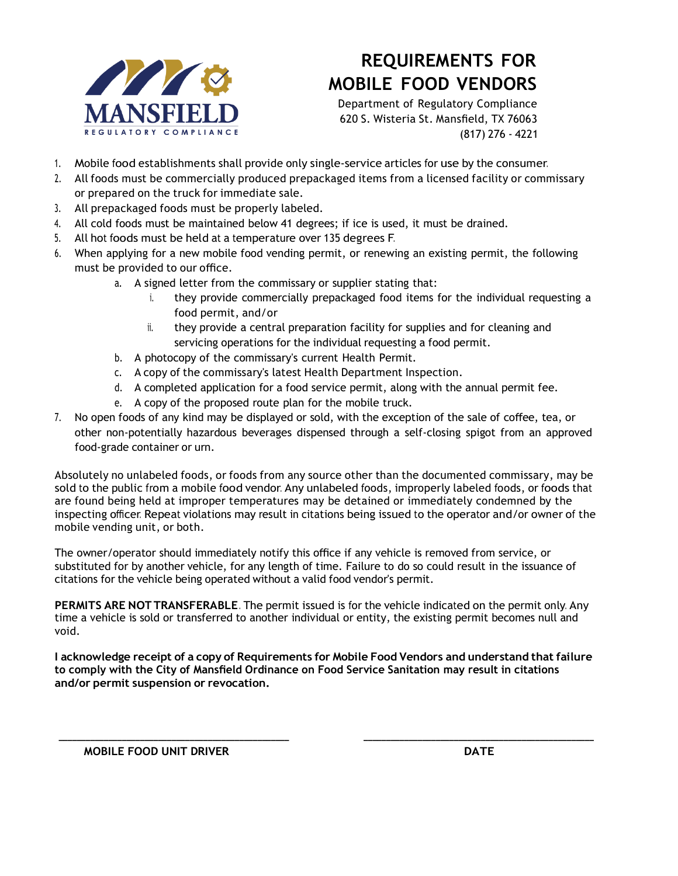

# **REQUIREMENTS FOR MOBILE FOOD VENDORS**

Department of Regulatory Compliance 620 S. Wisteria St. Mansfield, TX 76063 (817) 276 - 4221

- 1. Mobile food establishments shall provide only single-service articles for use by the consumer.
- 2. All foods must be commercially produced prepackaged items from a licensed facility or commissary or prepared on the truck for immediate sale.
- 3. All prepackaged foods must be properly labeled.
- 4. All cold foods must be maintained below 41 degrees; if ice is used, it must be drained.
- 5. All hot foods must be held at a temperature over 135 degrees F.
- 6. When applying for a new mobile food vending permit, or renewing an existing permit, the following must be provided to our office.
	- a. A signed letter from the commissary or supplier stating that:
		- i. they provide commercially prepackaged food items for the individual requesting a food permit, and/or
		- ii. they provide a central preparation facility for supplies and for cleaning and servicing operations for the individual requesting a food permit.
	- b. A photocopy of the commissary's current Health Permit.
	- c. A copy of the commissary's latest Health Department Inspection.
	- d. A completed application for a food service permit, along with the annual permit fee.
	- e. A copy of the proposed route plan for the mobile truck.
- 7. No open foods of any kind may be displayed or sold, with the exception of the sale of coffee, tea, or other non-potentially hazardous beverages dispensed through a self-closing spigot from an approved food-grade container or urn.

Absolutely no unlabeled foods, or foods from any source other than the documented commissary, may be sold to the public from a mobile food vendor. Any unlabeled foods, improperly labeled foods, or foods that are found being held at improper temperatures may be detained or immediately condemned by the inspecting officer. Repeat violations may result in citations being issued to the operator and/or owner of the mobile vending unit, or both.

The owner/operator should immediately notify this office if any vehicle is removed from service, or substituted for by another vehicle, for any length of time. Failure to do so could result in the issuance of citations for the vehicle being operated without a valid food vendor's permit.

**PERMITS ARE NOT TRANSFERABLE**. The permit issued is for the vehicle indicated on the permit only. Any time a vehicle is sold or transferred to another individual or entity, the existing permit becomes null and void.

**I acknowledge receipt of a copy of Requirements for Mobile Food Vendors and understand that failure to comply with the City of Mansfield Ordinance on Food Service Sanitation may result in citations and/or permit suspension or revocation.**

**\_\_\_\_\_\_\_\_\_\_\_\_\_\_\_\_\_\_\_\_\_\_\_\_\_\_\_\_\_\_\_\_\_\_\_\_\_\_\_\_\_\_\_\_\_\_\_\_\_\_\_ \_\_\_\_\_\_\_\_\_\_\_\_\_\_\_\_\_\_\_\_\_\_\_\_\_\_\_\_\_\_\_\_\_\_\_\_\_\_\_\_\_\_\_\_\_\_\_\_\_\_\_**

**MOBILE FOOD UNIT DRIVER DATE**